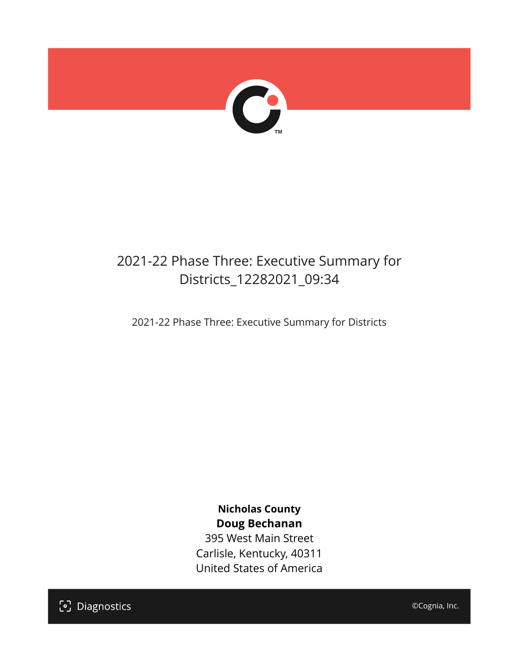

## 2021-22 Phase Three: Executive Summary for Districts\_12282021\_09:34

2021-22 Phase Three: Executive Summary for Districts

**Nicholas County Doug Bechanan**

395 West Main Street Carlisle, Kentucky, 40311 United States of America

[၁] Diagnostics

©Cognia, Inc.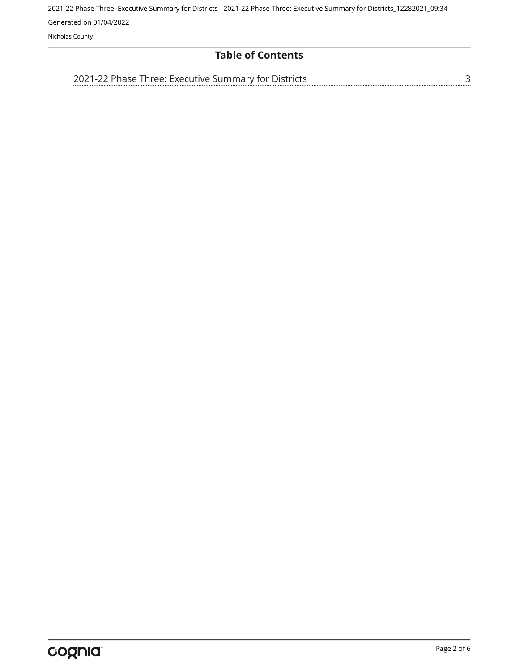Nicholas County

#### **Table of Contents**

[3](#page-2-0) [2021-22 Phase Three: Executive Summary for Districts](#page-2-0)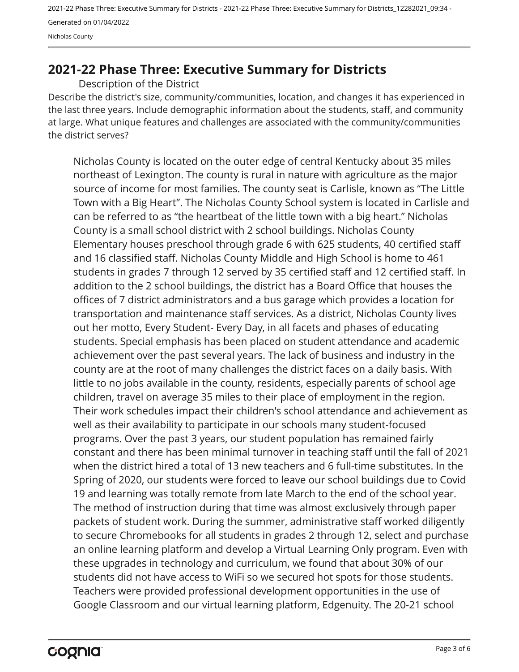### <span id="page-2-0"></span>**2021-22 Phase Three: Executive Summary for Districts**

Description of the District

Describe the district's size, community/communities, location, and changes it has experienced in the last three years. Include demographic information about the students, staff, and community at large. What unique features and challenges are associated with the community/communities the district serves?

Nicholas County is located on the outer edge of central Kentucky about 35 miles northeast of Lexington. The county is rural in nature with agriculture as the major source of income for most families. The county seat is Carlisle, known as "The Little Town with a Big Heart". The Nicholas County School system is located in Carlisle and can be referred to as "the heartbeat of the little town with a big heart." Nicholas County is a small school district with 2 school buildings. Nicholas County Elementary houses preschool through grade 6 with 625 students, 40 certified staff and 16 classified staff. Nicholas County Middle and High School is home to 461 students in grades 7 through 12 served by 35 certified staff and 12 certified staff. In addition to the 2 school buildings, the district has a Board Office that houses the offices of 7 district administrators and a bus garage which provides a location for transportation and maintenance staff services. As a district, Nicholas County lives out her motto, Every Student- Every Day, in all facets and phases of educating students. Special emphasis has been placed on student attendance and academic achievement over the past several years. The lack of business and industry in the county are at the root of many challenges the district faces on a daily basis. With little to no jobs available in the county, residents, especially parents of school age children, travel on average 35 miles to their place of employment in the region. Their work schedules impact their children's school attendance and achievement as well as their availability to participate in our schools many student-focused programs. Over the past 3 years, our student population has remained fairly constant and there has been minimal turnover in teaching staff until the fall of 2021 when the district hired a total of 13 new teachers and 6 full-time substitutes. In the Spring of 2020, our students were forced to leave our school buildings due to Covid 19 and learning was totally remote from late March to the end of the school year. The method of instruction during that time was almost exclusively through paper packets of student work. During the summer, administrative staff worked diligently to secure Chromebooks for all students in grades 2 through 12, select and purchase an online learning platform and develop a Virtual Learning Only program. Even with these upgrades in technology and curriculum, we found that about 30% of our students did not have access to WiFi so we secured hot spots for those students. Teachers were provided professional development opportunities in the use of Google Classroom and our virtual learning platform, Edgenuity. The 20-21 school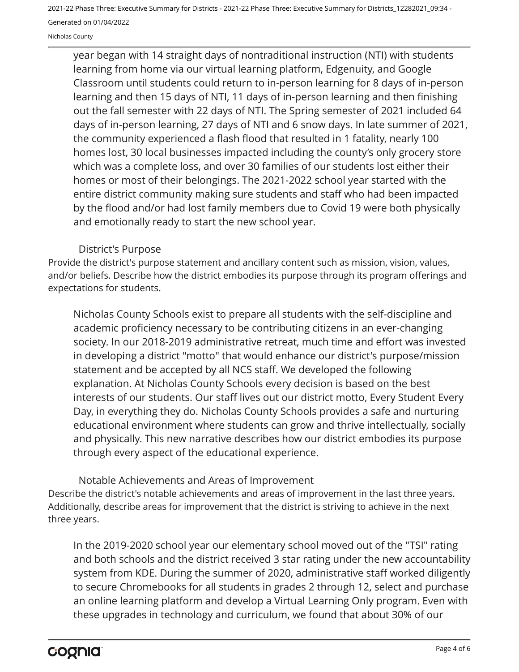Nicholas County

year began with 14 straight days of nontraditional instruction (NTI) with students learning from home via our virtual learning platform, Edgenuity, and Google Classroom until students could return to in-person learning for 8 days of in-person learning and then 15 days of NTI, 11 days of in-person learning and then finishing out the fall semester with 22 days of NTI. The Spring semester of 2021 included 64 days of in-person learning, 27 days of NTI and 6 snow days. In late summer of 2021, the community experienced a flash flood that resulted in 1 fatality, nearly 100 homes lost, 30 local businesses impacted including the county's only grocery store which was a complete loss, and over 30 families of our students lost either their homes or most of their belongings. The 2021-2022 school year started with the entire district community making sure students and staff who had been impacted by the flood and/or had lost family members due to Covid 19 were both physically and emotionally ready to start the new school year.

#### District's Purpose

Provide the district's purpose statement and ancillary content such as mission, vision, values, and/or beliefs. Describe how the district embodies its purpose through its program offerings and expectations for students.

Nicholas County Schools exist to prepare all students with the self-discipline and academic proficiency necessary to be contributing citizens in an ever-changing society. In our 2018-2019 administrative retreat, much time and effort was invested in developing a district "motto" that would enhance our district's purpose/mission statement and be accepted by all NCS staff. We developed the following explanation. At Nicholas County Schools every decision is based on the best interests of our students. Our staff lives out our district motto, Every Student Every Day, in everything they do. Nicholas County Schools provides a safe and nurturing educational environment where students can grow and thrive intellectually, socially and physically. This new narrative describes how our district embodies its purpose through every aspect of the educational experience.

Describe the district's notable achievements and areas of improvement in the last three years. Additionally, describe areas for improvement that the district is striving to achieve in the next three years. Notable Achievements and Areas of Improvement

In the 2019-2020 school year our elementary school moved out of the "TSI" rating and both schools and the district received 3 star rating under the new accountability system from KDE. During the summer of 2020, administrative staff worked diligently to secure Chromebooks for all students in grades 2 through 12, select and purchase an online learning platform and develop a Virtual Learning Only program. Even with these upgrades in technology and curriculum, we found that about 30% of our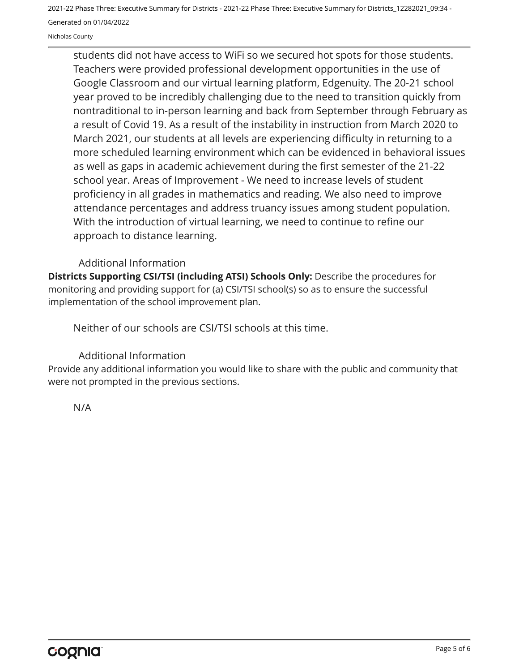Nicholas County

students did not have access to WiFi so we secured hot spots for those students. Teachers were provided professional development opportunities in the use of Google Classroom and our virtual learning platform, Edgenuity. The 20-21 school year proved to be incredibly challenging due to the need to transition quickly from nontraditional to in-person learning and back from September through February as a result of Covid 19. As a result of the instability in instruction from March 2020 to March 2021, our students at all levels are experiencing difficulty in returning to a more scheduled learning environment which can be evidenced in behavioral issues as well as gaps in academic achievement during the first semester of the 21-22 school year. Areas of Improvement - We need to increase levels of student proficiency in all grades in mathematics and reading. We also need to improve attendance percentages and address truancy issues among student population. With the introduction of virtual learning, we need to continue to refine our approach to distance learning.

#### Additional Information

**Districts Supporting CSI/TSI (including ATSI) Schools Only:** Describe the procedures for monitoring and providing support for (a) CSI/TSI school(s) so as to ensure the successful implementation of the school improvement plan.

Neither of our schools are CSI/TSI schools at this time.

#### Additional Information

Provide any additional information you would like to share with the public and community that were not prompted in the previous sections.

N/A